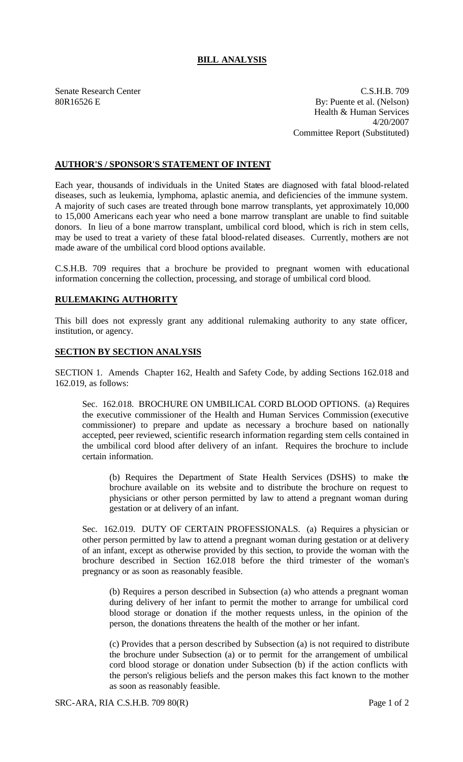## **BILL ANALYSIS**

Senate Research Center C.S.H.B. 709 80R16526 E By: Puente et al. (Nelson) Health & Human Services 4/20/2007 Committee Report (Substituted)

## **AUTHOR'S / SPONSOR'S STATEMENT OF INTENT**

Each year, thousands of individuals in the United States are diagnosed with fatal blood-related diseases, such as leukemia, lymphoma, aplastic anemia, and deficiencies of the immune system. A majority of such cases are treated through bone marrow transplants, yet approximately 10,000 to 15,000 Americans each year who need a bone marrow transplant are unable to find suitable donors. In lieu of a bone marrow transplant, umbilical cord blood, which is rich in stem cells, may be used to treat a variety of these fatal blood-related diseases. Currently, mothers are not made aware of the umbilical cord blood options available.

C.S.H.B. 709 requires that a brochure be provided to pregnant women with educational information concerning the collection, processing, and storage of umbilical cord blood.

## **RULEMAKING AUTHORITY**

This bill does not expressly grant any additional rulemaking authority to any state officer, institution, or agency.

## **SECTION BY SECTION ANALYSIS**

SECTION 1. Amends Chapter 162, Health and Safety Code, by adding Sections 162.018 and 162.019, as follows:

Sec. 162.018. BROCHURE ON UMBILICAL CORD BLOOD OPTIONS. (a) Requires the executive commissioner of the Health and Human Services Commission (executive commissioner) to prepare and update as necessary a brochure based on nationally accepted, peer reviewed, scientific research information regarding stem cells contained in the umbilical cord blood after delivery of an infant. Requires the brochure to include certain information.

(b) Requires the Department of State Health Services (DSHS) to make the brochure available on its website and to distribute the brochure on request to physicians or other person permitted by law to attend a pregnant woman during gestation or at delivery of an infant.

Sec. 162.019. DUTY OF CERTAIN PROFESSIONALS. (a) Requires a physician or other person permitted by law to attend a pregnant woman during gestation or at delivery of an infant, except as otherwise provided by this section, to provide the woman with the brochure described in Section 162.018 before the third trimester of the woman's pregnancy or as soon as reasonably feasible.

(b) Requires a person described in Subsection (a) who attends a pregnant woman during delivery of her infant to permit the mother to arrange for umbilical cord blood storage or donation if the mother requests unless, in the opinion of the person, the donations threatens the health of the mother or her infant.

(c) Provides that a person described by Subsection (a) is not required to distribute the brochure under Subsection (a) or to permit for the arrangement of umbilical cord blood storage or donation under Subsection (b) if the action conflicts with the person's religious beliefs and the person makes this fact known to the mother as soon as reasonably feasible.